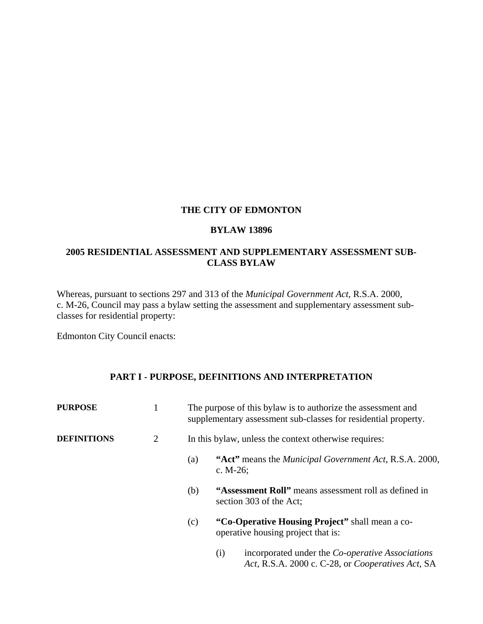### **THE CITY OF EDMONTON**

#### **BYLAW 13896**

## **2005 RESIDENTIAL ASSESSMENT AND SUPPLEMENTARY ASSESSMENT SUB-CLASS BYLAW**

Whereas, pursuant to sections 297 and 313 of the *Municipal Government Act*, R.S.A. 2000, c. M-26, Council may pass a bylaw setting the assessment and supplementary assessment subclasses for residential property:

Edmonton City Council enacts:

# **PART I - PURPOSE, DEFINITIONS AND INTERPRETATION**

| <b>PURPOSE</b>     |                |                                                       | The purpose of this by law is to authorize the assessment and<br>supplementary assessment sub-classes for residential property. |  |
|--------------------|----------------|-------------------------------------------------------|---------------------------------------------------------------------------------------------------------------------------------|--|
| <b>DEFINITIONS</b> | $\overline{2}$ | In this bylaw, unless the context otherwise requires: |                                                                                                                                 |  |
|                    |                | (a)                                                   | "Act" means the <i>Municipal Government Act</i> , R.S.A. 2000,<br>c. $M-26$ ;                                                   |  |
|                    |                | (b)                                                   | "Assessment Roll" means assessment roll as defined in<br>section 303 of the Act;                                                |  |
|                    |                | (c)                                                   | "Co-Operative Housing Project" shall mean a co-<br>operative housing project that is:                                           |  |
|                    |                |                                                       | incorporated under the <i>Co-operative Associations</i><br>(i)<br>Act, R.S.A. 2000 c. C-28, or <i>Cooperatives Act</i> , SA     |  |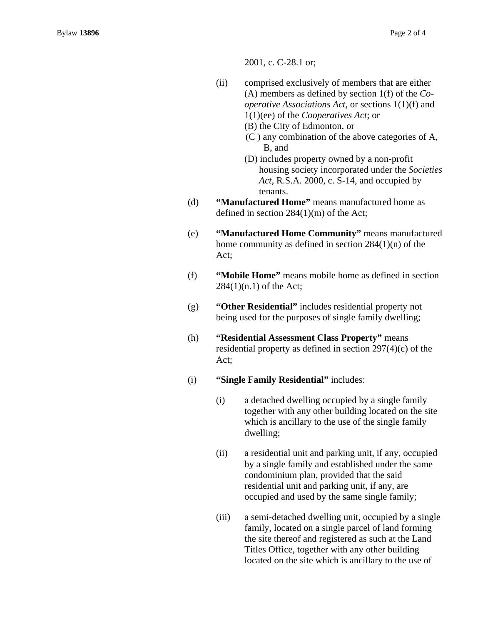2001, c. C-28.1 or;

- (ii) comprised exclusively of members that are either (A) members as defined by section 1(f) of the *Cooperative Associations Act*, or sections 1(1)(f) and 1(1)(ee) of the *Cooperatives Act*; or
	- (B) the City of Edmonton, or
	- (C ) any combination of the above categories of A, B, and
	- (D) includes property owned by a non-profit housing society incorporated under the *Societies Act*, R.S.A. 2000, c. S-14, and occupied by tenants.
- (d) **"Manufactured Home"** means manufactured home as defined in section 284(1)(m) of the Act;
- (e) **"Manufactured Home Community"** means manufactured home community as defined in section 284(1)(n) of the Act;
- (f) **"Mobile Home"** means mobile home as defined in section  $284(1)(n.1)$  of the Act;
- (g) **"Other Residential"** includes residential property not being used for the purposes of single family dwelling;
- (h) **"Residential Assessment Class Property"** means residential property as defined in section 297(4)(c) of the Act;
- (i) **"Single Family Residential"** includes:
	- (i) a detached dwelling occupied by a single family together with any other building located on the site which is ancillary to the use of the single family dwelling;
	- (ii) a residential unit and parking unit, if any, occupied by a single family and established under the same condominium plan, provided that the said residential unit and parking unit, if any, are occupied and used by the same single family;
	- (iii) a semi-detached dwelling unit, occupied by a single family, located on a single parcel of land forming the site thereof and registered as such at the Land Titles Office, together with any other building located on the site which is ancillary to the use of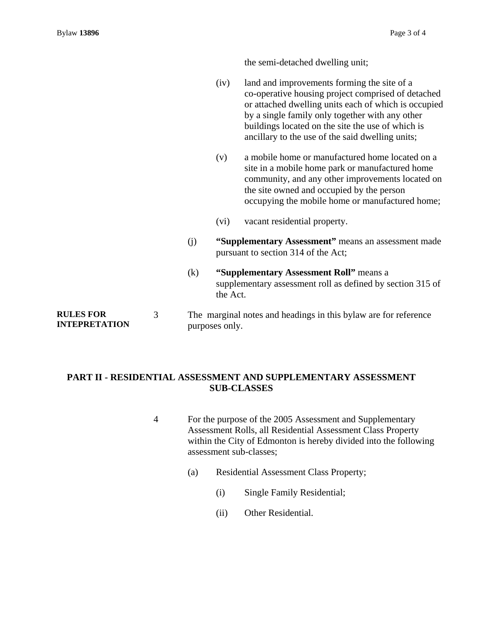**RULES FOR** 

the semi-detached dwelling unit;

- (iv) land and improvements forming the site of a co-operative housing project comprised of detached or attached dwelling units each of which is occupied by a single family only together with any other buildings located on the site the use of which is ancillary to the use of the said dwelling units;
- (v) a mobile home or manufactured home located on a site in a mobile home park or manufactured home community, and any other improvements located on the site owned and occupied by the person occupying the mobile home or manufactured home;
- (vi) vacant residential property.
- (j) **"Supplementary Assessment"** means an assessment made pursuant to section 314 of the Act;
- (k) **"Supplementary Assessment Roll"** means a supplementary assessment roll as defined by section 315 of the Act.

**INTEPRETATION**  3 The marginal notes and headings in this bylaw are for reference purposes only.

### **PART II - RESIDENTIAL ASSESSMENT AND SUPPLEMENTARY ASSESSMENT SUB-CLASSES**

- 4 For the purpose of the 2005 Assessment and Supplementary Assessment Rolls, all Residential Assessment Class Property within the City of Edmonton is hereby divided into the following assessment sub-classes;
	- (a) Residential Assessment Class Property;
		- (i) Single Family Residential;
		- (ii) Other Residential.